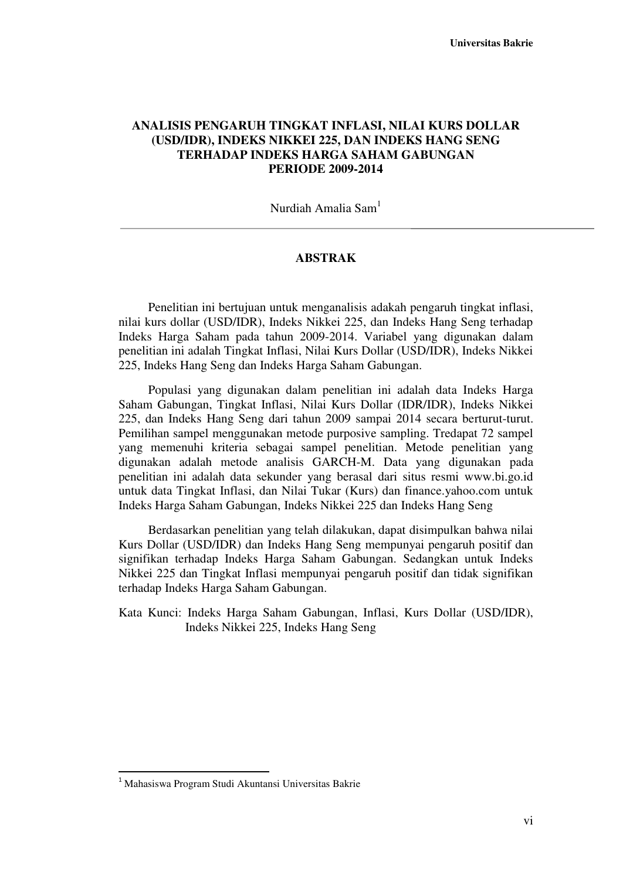## **ANALISIS PENGARUH TINGKAT INFLASI, NILAI KURS DOLLAR (USD/IDR), INDEKS NIKKEI 225, DAN INDEKS HANG SENG TERHADAP INDEKS HARGA SAHAM GABUNGAN PERIODE 2009-2014**

Nurdiah Amalia Sam<sup>1</sup>

## **ABSTRAK**

Penelitian ini bertujuan untuk menganalisis adakah pengaruh tingkat inflasi, nilai kurs dollar (USD/IDR), Indeks Nikkei 225, dan Indeks Hang Seng terhadap Indeks Harga Saham pada tahun 2009-2014. Variabel yang digunakan dalam penelitian ini adalah Tingkat Inflasi, Nilai Kurs Dollar (USD/IDR), Indeks Nikkei 225, Indeks Hang Seng dan Indeks Harga Saham Gabungan.

Populasi yang digunakan dalam penelitian ini adalah data Indeks Harga Saham Gabungan, Tingkat Inflasi, Nilai Kurs Dollar (IDR/IDR), Indeks Nikkei 225, dan Indeks Hang Seng dari tahun 2009 sampai 2014 secara berturut-turut. Pemilihan sampel menggunakan metode purposive sampling. Tredapat 72 sampel yang memenuhi kriteria sebagai sampel penelitian. Metode penelitian yang digunakan adalah metode analisis GARCH-M. Data yang digunakan pada penelitian ini adalah data sekunder yang berasal dari situs resmi www.bi.go.id untuk data Tingkat Inflasi, dan Nilai Tukar (Kurs) dan finance.yahoo.com untuk Indeks Harga Saham Gabungan, Indeks Nikkei 225 dan Indeks Hang Seng

Berdasarkan penelitian yang telah dilakukan, dapat disimpulkan bahwa nilai Kurs Dollar (USD/IDR) dan Indeks Hang Seng mempunyai pengaruh positif dan signifikan terhadap Indeks Harga Saham Gabungan. Sedangkan untuk Indeks Nikkei 225 dan Tingkat Inflasi mempunyai pengaruh positif dan tidak signifikan terhadap Indeks Harga Saham Gabungan.

Kata Kunci: Indeks Harga Saham Gabungan, Inflasi, Kurs Dollar (USD/IDR), Indeks Nikkei 225, Indeks Hang Seng

l

<sup>1</sup> Mahasiswa Program Studi Akuntansi Universitas Bakrie